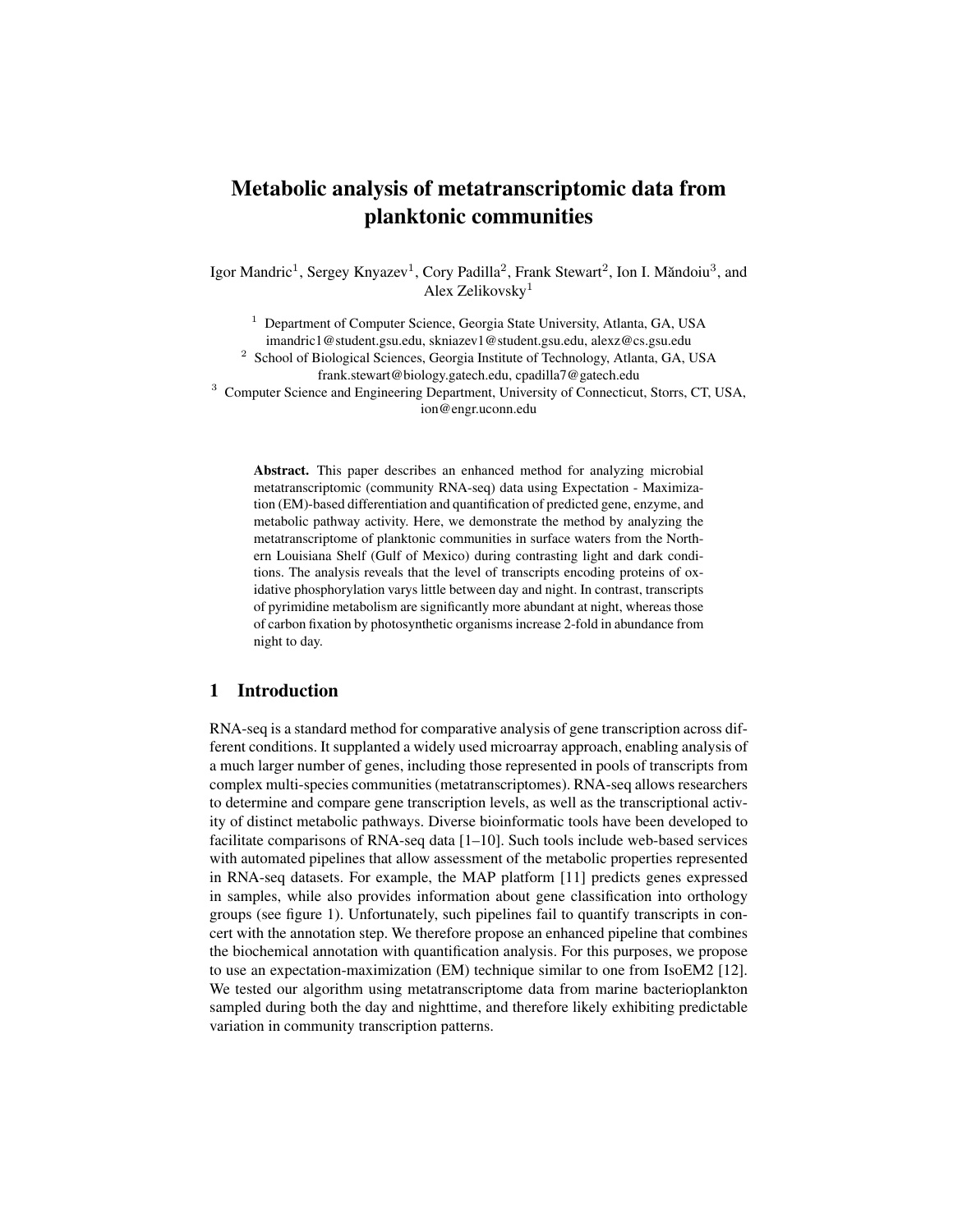# Metabolic analysis of metatranscriptomic data from planktonic communities

Igor Mandric<sup>1</sup>, Sergey Knyazev<sup>1</sup>, Cory Padilla<sup>2</sup>, Frank Stewart<sup>2</sup>, Ion I. Măndoiu<sup>3</sup>, and Alex Zelikovsky<sup>1</sup>

<sup>1</sup> Department of Computer Science, Georgia State University, Atlanta, GA, USA imandric1@student.gsu.edu, skniazev1@student.gsu.edu, alexz@cs.gsu.edu <sup>2</sup> School of Biological Sciences, Georgia Institute of Technology, Atlanta, GA, USA

frank.stewart@biology.gatech.edu, cpadilla7@gatech.edu

<sup>3</sup> Computer Science and Engineering Department, University of Connecticut, Storrs, CT, USA, ion@engr.uconn.edu

Abstract. This paper describes an enhanced method for analyzing microbial metatranscriptomic (community RNA-seq) data using Expectation - Maximization (EM)-based differentiation and quantification of predicted gene, enzyme, and metabolic pathway activity. Here, we demonstrate the method by analyzing the metatranscriptome of planktonic communities in surface waters from the Northern Louisiana Shelf (Gulf of Mexico) during contrasting light and dark conditions. The analysis reveals that the level of transcripts encoding proteins of oxidative phosphorylation varys little between day and night. In contrast, transcripts of pyrimidine metabolism are significantly more abundant at night, whereas those of carbon fixation by photosynthetic organisms increase 2-fold in abundance from night to day.

# 1 Introduction

RNA-seq is a standard method for comparative analysis of gene transcription across different conditions. It supplanted a widely used microarray approach, enabling analysis of a much larger number of genes, including those represented in pools of transcripts from complex multi-species communities (metatranscriptomes). RNA-seq allows researchers to determine and compare gene transcription levels, as well as the transcriptional activity of distinct metabolic pathways. Diverse bioinformatic tools have been developed to facilitate comparisons of RNA-seq data [1–10]. Such tools include web-based services with automated pipelines that allow assessment of the metabolic properties represented in RNA-seq datasets. For example, the MAP platform [11] predicts genes expressed in samples, while also provides information about gene classification into orthology groups (see figure 1). Unfortunately, such pipelines fail to quantify transcripts in concert with the annotation step. We therefore propose an enhanced pipeline that combines the biochemical annotation with quantification analysis. For this purposes, we propose to use an expectation-maximization (EM) technique similar to one from IsoEM2 [12]. We tested our algorithm using metatranscriptome data from marine bacterioplankton sampled during both the day and nighttime, and therefore likely exhibiting predictable variation in community transcription patterns.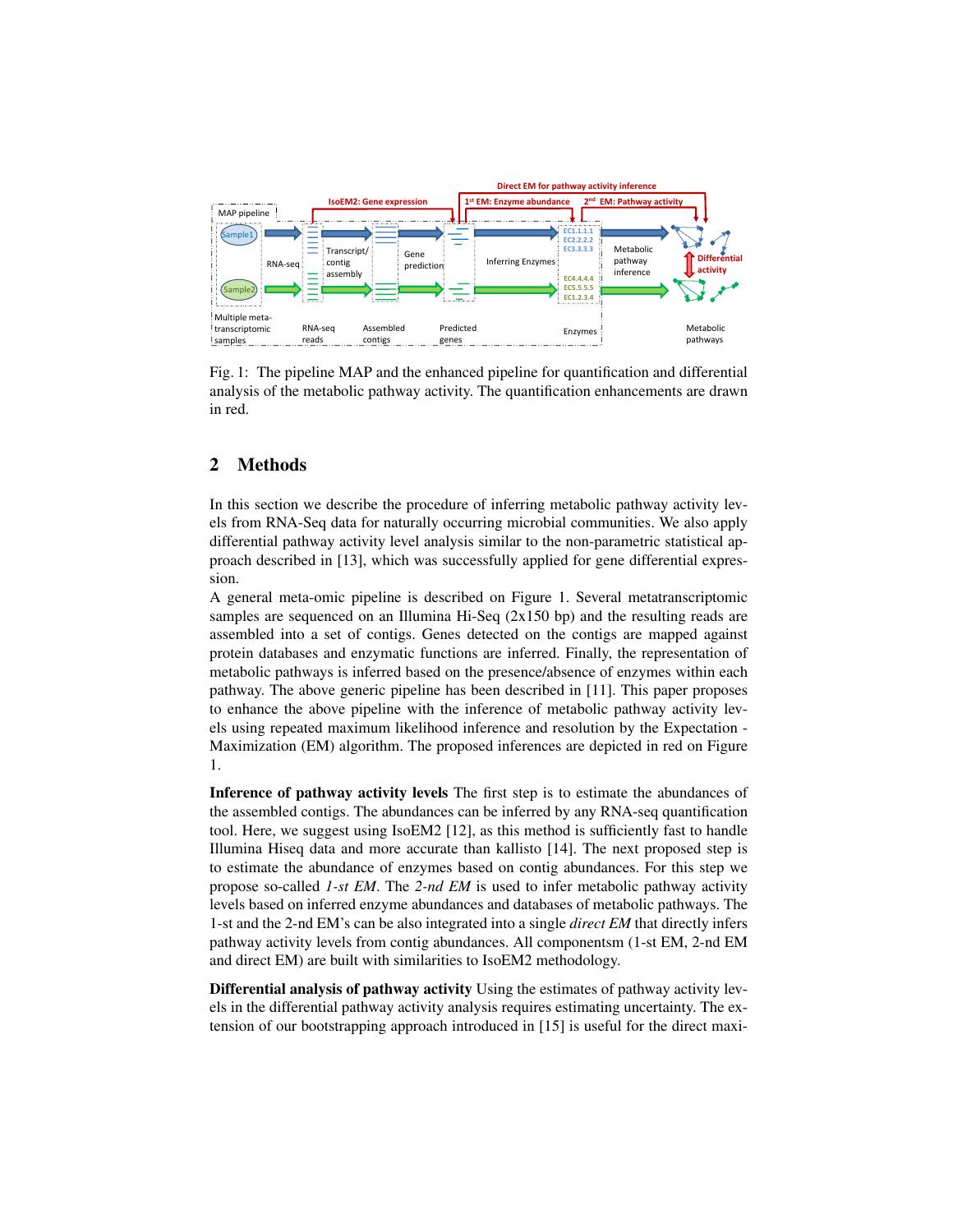

Fig. 1: The pipeline MAP and the enhanced pipeline for quantification and differential analysis of the metabolic pathway activity. The quantification enhancements are drawn in red.

# 2 Methods

In this section we describe the procedure of inferring metabolic pathway activity levels from RNA-Seq data for naturally occurring microbial communities. We also apply differential pathway activity level analysis similar to the non-parametric statistical approach described in [13], which was successfully applied for gene differential expression.

A general meta-omic pipeline is described on Figure 1. Several metatranscriptomic samples are sequenced on an Illumina Hi-Seq  $(2x150$  bp) and the resulting reads are assembled into a set of contigs. Genes detected on the contigs are mapped against protein databases and enzymatic functions are inferred. Finally, the representation of metabolic pathways is inferred based on the presence/absence of enzymes within each pathway. The above generic pipeline has been described in [11]. This paper proposes to enhance the above pipeline with the inference of metabolic pathway activity levels using repeated maximum likelihood inference and resolution by the Expectation - Maximization (EM) algorithm. The proposed inferences are depicted in red on Figure 1.

Inference of pathway activity levels The first step is to estimate the abundances of the assembled contigs. The abundances can be inferred by any RNA-seq quantification tool. Here, we suggest using IsoEM2 [12], as this method is sufficiently fast to handle Illumina Hiseq data and more accurate than kallisto [14]. The next proposed step is to estimate the abundance of enzymes based on contig abundances. For this step we propose so-called *1-st EM*. The *2-nd EM* is used to infer metabolic pathway activity levels based on inferred enzyme abundances and databases of metabolic pathways. The 1-st and the 2-nd EM's can be also integrated into a single *direct EM* that directly infers pathway activity levels from contig abundances. All componentsm (1-st EM, 2-nd EM and direct EM) are built with similarities to IsoEM2 methodology.

Differential analysis of pathway activity Using the estimates of pathway activity levels in the differential pathway activity analysis requires estimating uncertainty. The extension of our bootstrapping approach introduced in [15] is useful for the direct maxi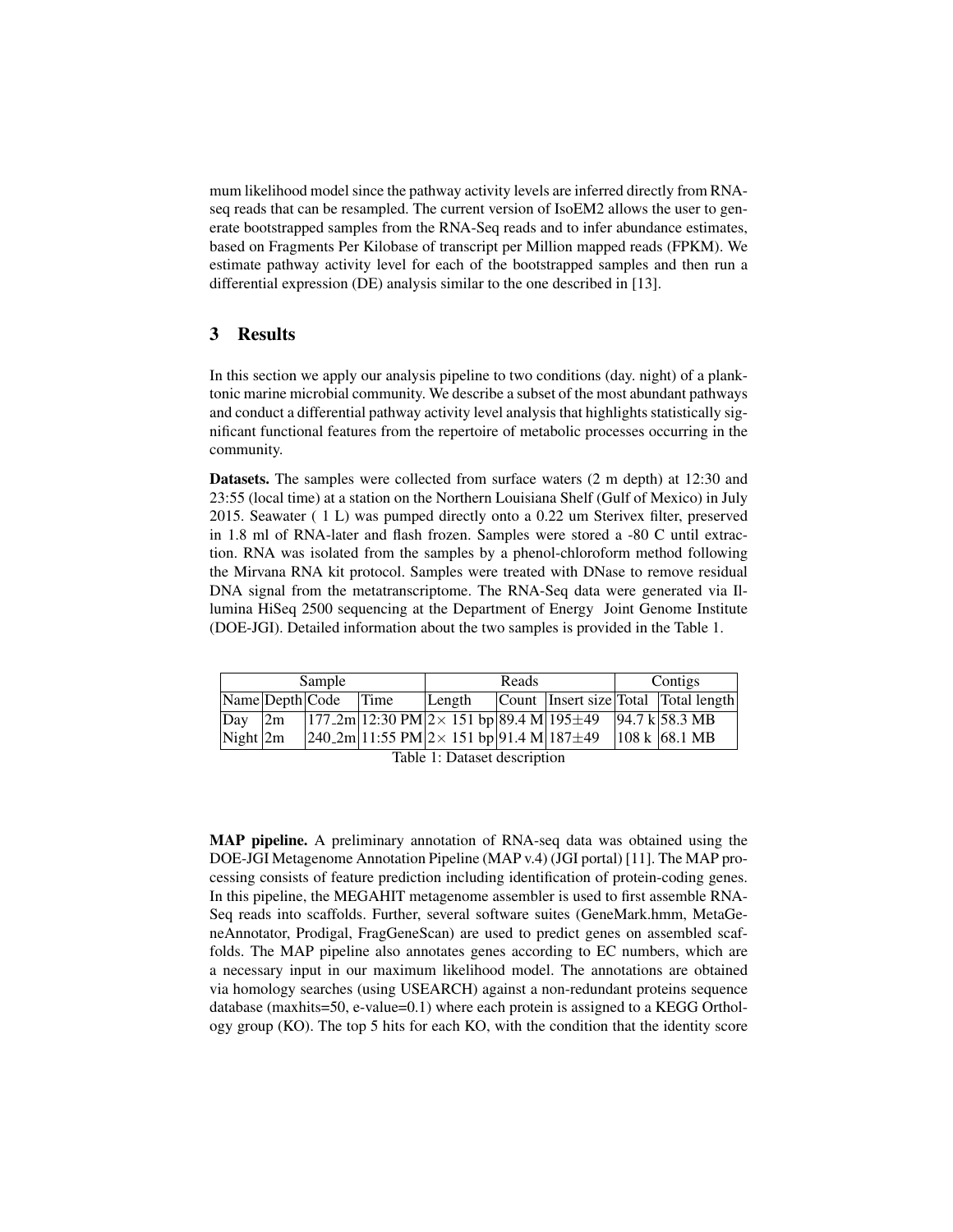mum likelihood model since the pathway activity levels are inferred directly from RNAseq reads that can be resampled. The current version of IsoEM2 allows the user to generate bootstrapped samples from the RNA-Seq reads and to infer abundance estimates, based on Fragments Per Kilobase of transcript per Million mapped reads (FPKM). We estimate pathway activity level for each of the bootstrapped samples and then run a differential expression (DE) analysis similar to the one described in [13].

### 3 Results

In this section we apply our analysis pipeline to two conditions (day. night) of a planktonic marine microbial community. We describe a subset of the most abundant pathways and conduct a differential pathway activity level analysis that highlights statistically significant functional features from the repertoire of metabolic processes occurring in the community.

Datasets. The samples were collected from surface waters (2 m depth) at 12:30 and 23:55 (local time) at a station on the Northern Louisiana Shelf (Gulf of Mexico) in July 2015. Seawater ( 1 L) was pumped directly onto a 0.22 um Sterivex filter, preserved in 1.8 ml of RNA-later and flash frozen. Samples were stored a -80 C until extraction. RNA was isolated from the samples by a phenol-chloroform method following the Mirvana RNA kit protocol. Samples were treated with DNase to remove residual DNA signal from the metatranscriptome. The RNA-Seq data were generated via Illumina HiSeq 2500 sequencing at the Department of Energy Joint Genome Institute (DOE-JGI). Detailed information about the two samples is provided in the Table 1.

| Sample                                                                                                                                                                                                                                                                   |                                         |  | Reads |                                                                            |  | Contigs |  |                                      |
|--------------------------------------------------------------------------------------------------------------------------------------------------------------------------------------------------------------------------------------------------------------------------|-----------------------------------------|--|-------|----------------------------------------------------------------------------|--|---------|--|--------------------------------------|
|                                                                                                                                                                                                                                                                          | $\vert$ Name $\vert$ Depth $\vert$ Code |  | Time  | Length                                                                     |  |         |  | Count Insert size Total Total length |
| $\Delta$                                                                                                                                                                                                                                                                 | 2m                                      |  |       | $177.2m$ 12:30 PM $2 \times 151$ bp 89.4 M 195 $\pm$ 49 94.7 k 58.3 MB     |  |         |  |                                      |
| Night $2m$                                                                                                                                                                                                                                                               |                                         |  |       | $ 240.2m 11:55 \text{ PM} 2\times 151 \text{ bp} 91.4 \text{ M} 187\pm 49$ |  |         |  | $ 108 \text{ k} $ 68.1 MB            |
| $T = 1.1$ . 1. $T = 1.1$ . $T = 1.1$ . $T = 1.1$ . $T = 1.1$ . $T = 1.1$ . $T = 1.1$ . $T = 1.1$ . $T = 1.1$ . $T = 1.1$ . $T = 1.1$ . $T = 1.1$ . $T = 1.1$ . $T = 1.1$ . $T = 1.1$ . $T = 1.1$ . $T = 1.1$ . $T = 1.1$ . $T = 1.1$ . $T = 1.1$ . $T = 1.1$ . $T = 1.1$ |                                         |  |       |                                                                            |  |         |  |                                      |

| Table 1: Dataset description |  |  |
|------------------------------|--|--|
|------------------------------|--|--|

MAP pipeline. A preliminary annotation of RNA-seq data was obtained using the DOE-JGI Metagenome Annotation Pipeline (MAP v.4) (JGI portal) [11]. The MAP processing consists of feature prediction including identification of protein-coding genes. In this pipeline, the MEGAHIT metagenome assembler is used to first assemble RNA-Seq reads into scaffolds. Further, several software suites (GeneMark.hmm, MetaGeneAnnotator, Prodigal, FragGeneScan) are used to predict genes on assembled scaffolds. The MAP pipeline also annotates genes according to EC numbers, which are a necessary input in our maximum likelihood model. The annotations are obtained via homology searches (using USEARCH) against a non-redundant proteins sequence database (maxhits=50, e-value=0.1) where each protein is assigned to a KEGG Orthology group (KO). The top 5 hits for each KO, with the condition that the identity score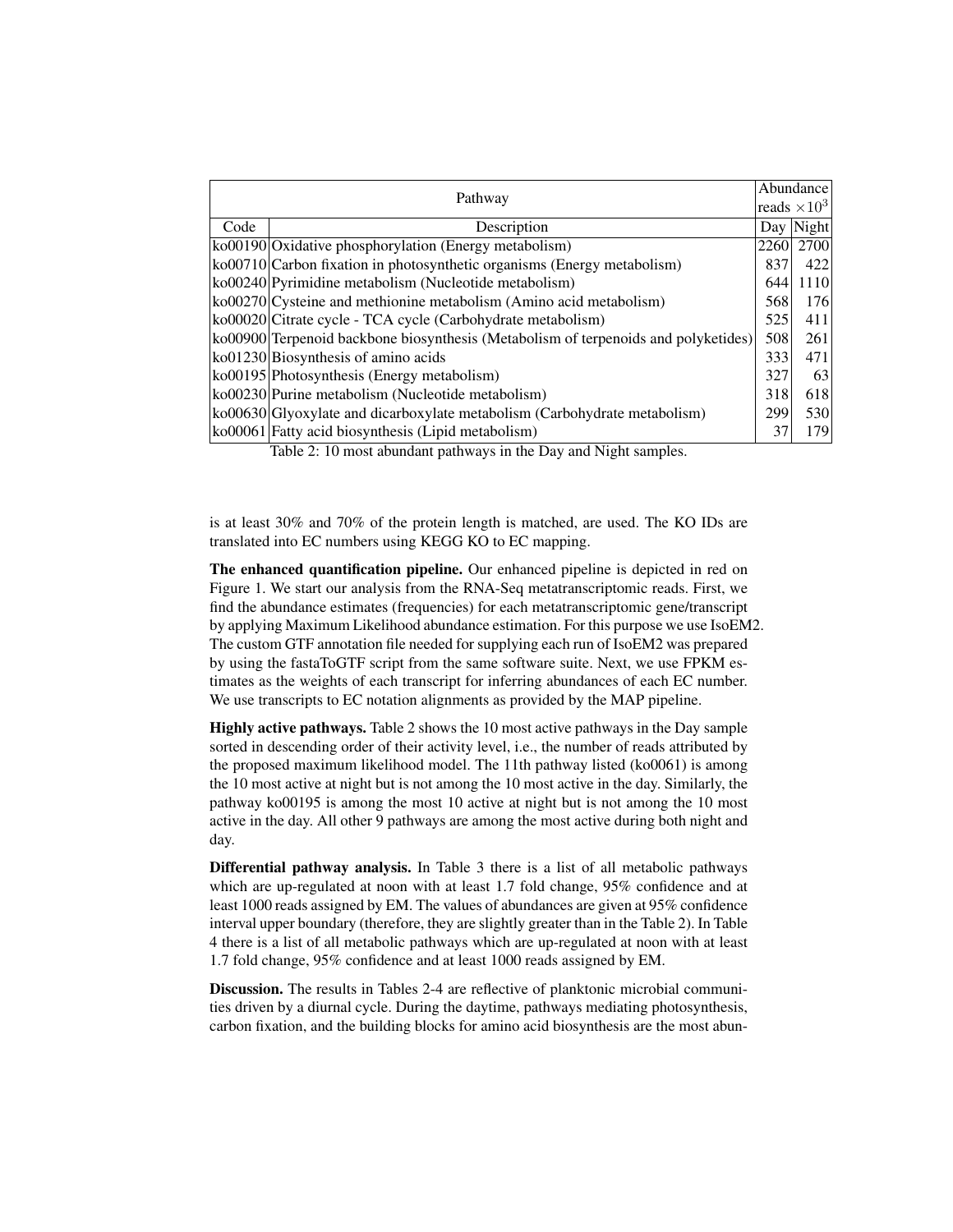| Pathway |                                                                                    | Abundance |                     |
|---------|------------------------------------------------------------------------------------|-----------|---------------------|
|         |                                                                                    |           | reads $\times 10^3$ |
| Code    | Day   Night <br>Description                                                        |           |                     |
|         | ko00190 Oxidative phosphorylation (Energy metabolism)                              | 2260      | 2700                |
|         | ko00710 Carbon fixation in photosynthetic organisms (Energy metabolism)            | 837       | 422                 |
|         | ko00240 Pyrimidine metabolism (Nucleotide metabolism)                              | 644       | 1110                |
|         | ko00270 Cysteine and methionine metabolism (Amino acid metabolism)                 | 568       | 176                 |
|         | ko00020 Citrate cycle - TCA cycle (Carbohydrate metabolism)                        | 525       | 411                 |
|         | ko00900 Terpenoid backbone biosynthesis (Metabolism of terpenoids and polyketides) | 508       | 261                 |
|         | $k$ o01230 Biosynthesis of amino acids                                             | 333       | 471                 |
|         | ko00195 Photosynthesis (Energy metabolism)                                         | 327       | 63                  |
|         | ko00230 Purine metabolism (Nucleotide metabolism)                                  | 318       | 618                 |
|         | ko00630 Glyoxylate and dicarboxylate metabolism (Carbohydrate metabolism)          | 299       | 530                 |
|         | ko00061 Fatty acid biosynthesis (Lipid metabolism)                                 | 37        | 179                 |

Table 2: 10 most abundant pathways in the Day and Night samples.

is at least 30% and 70% of the protein length is matched, are used. The KO IDs are translated into EC numbers using KEGG KO to EC mapping.

The enhanced quantification pipeline. Our enhanced pipeline is depicted in red on Figure 1. We start our analysis from the RNA-Seq metatranscriptomic reads. First, we find the abundance estimates (frequencies) for each metatranscriptomic gene/transcript by applying Maximum Likelihood abundance estimation. For this purpose we use IsoEM2. The custom GTF annotation file needed for supplying each run of IsoEM2 was prepared by using the fastaToGTF script from the same software suite. Next, we use FPKM estimates as the weights of each transcript for inferring abundances of each EC number. We use transcripts to EC notation alignments as provided by the MAP pipeline.

Highly active pathways. Table 2 shows the 10 most active pathways in the Day sample sorted in descending order of their activity level, i.e., the number of reads attributed by the proposed maximum likelihood model. The 11th pathway listed (ko0061) is among the 10 most active at night but is not among the 10 most active in the day. Similarly, the pathway ko00195 is among the most 10 active at night but is not among the 10 most active in the day. All other 9 pathways are among the most active during both night and day.

Differential pathway analysis. In Table 3 there is a list of all metabolic pathways which are up-regulated at noon with at least 1.7 fold change, 95% confidence and at least 1000 reads assigned by EM. The values of abundances are given at 95% confidence interval upper boundary (therefore, they are slightly greater than in the Table 2). In Table 4 there is a list of all metabolic pathways which are up-regulated at noon with at least 1.7 fold change, 95% confidence and at least 1000 reads assigned by EM.

Discussion. The results in Tables 2-4 are reflective of planktonic microbial communities driven by a diurnal cycle. During the daytime, pathways mediating photosynthesis, carbon fixation, and the building blocks for amino acid biosynthesis are the most abun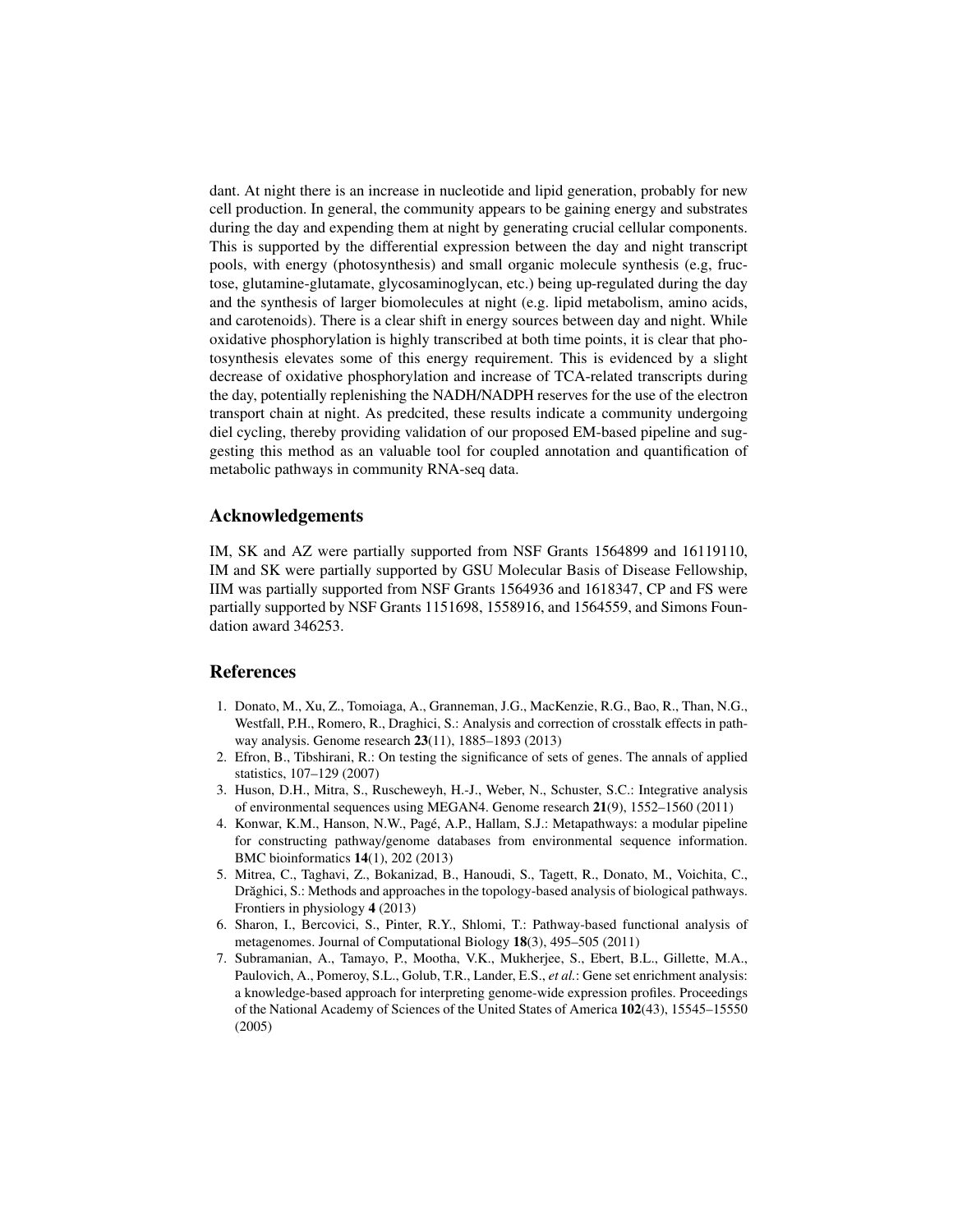dant. At night there is an increase in nucleotide and lipid generation, probably for new cell production. In general, the community appears to be gaining energy and substrates during the day and expending them at night by generating crucial cellular components. This is supported by the differential expression between the day and night transcript pools, with energy (photosynthesis) and small organic molecule synthesis (e.g, fructose, glutamine-glutamate, glycosaminoglycan, etc.) being up-regulated during the day and the synthesis of larger biomolecules at night (e.g. lipid metabolism, amino acids, and carotenoids). There is a clear shift in energy sources between day and night. While oxidative phosphorylation is highly transcribed at both time points, it is clear that photosynthesis elevates some of this energy requirement. This is evidenced by a slight decrease of oxidative phosphorylation and increase of TCA-related transcripts during the day, potentially replenishing the NADH/NADPH reserves for the use of the electron transport chain at night. As predcited, these results indicate a community undergoing diel cycling, thereby providing validation of our proposed EM-based pipeline and suggesting this method as an valuable tool for coupled annotation and quantification of metabolic pathways in community RNA-seq data.

#### Acknowledgements

IM, SK and AZ were partially supported from NSF Grants 1564899 and 16119110, IM and SK were partially supported by GSU Molecular Basis of Disease Fellowship, IIM was partially supported from NSF Grants 1564936 and 1618347, CP and FS were partially supported by NSF Grants 1151698, 1558916, and 1564559, and Simons Foundation award 346253.

#### References

- 1. Donato, M., Xu, Z., Tomoiaga, A., Granneman, J.G., MacKenzie, R.G., Bao, R., Than, N.G., Westfall, P.H., Romero, R., Draghici, S.: Analysis and correction of crosstalk effects in pathway analysis. Genome research 23(11), 1885–1893 (2013)
- 2. Efron, B., Tibshirani, R.: On testing the significance of sets of genes. The annals of applied statistics, 107–129 (2007)
- 3. Huson, D.H., Mitra, S., Ruscheweyh, H.-J., Weber, N., Schuster, S.C.: Integrative analysis of environmental sequences using MEGAN4. Genome research 21(9), 1552–1560 (2011)
- 4. Konwar, K.M., Hanson, N.W., Page, A.P., Hallam, S.J.: Metapathways: a modular pipeline ´ for constructing pathway/genome databases from environmental sequence information. BMC bioinformatics 14(1), 202 (2013)
- 5. Mitrea, C., Taghavi, Z., Bokanizad, B., Hanoudi, S., Tagett, R., Donato, M., Voichita, C., Drăghici, S.: Methods and approaches in the topology-based analysis of biological pathways. Frontiers in physiology 4 (2013)
- 6. Sharon, I., Bercovici, S., Pinter, R.Y., Shlomi, T.: Pathway-based functional analysis of metagenomes. Journal of Computational Biology 18(3), 495–505 (2011)
- 7. Subramanian, A., Tamayo, P., Mootha, V.K., Mukherjee, S., Ebert, B.L., Gillette, M.A., Paulovich, A., Pomeroy, S.L., Golub, T.R., Lander, E.S., *et al.*: Gene set enrichment analysis: a knowledge-based approach for interpreting genome-wide expression profiles. Proceedings of the National Academy of Sciences of the United States of America 102(43), 15545–15550 (2005)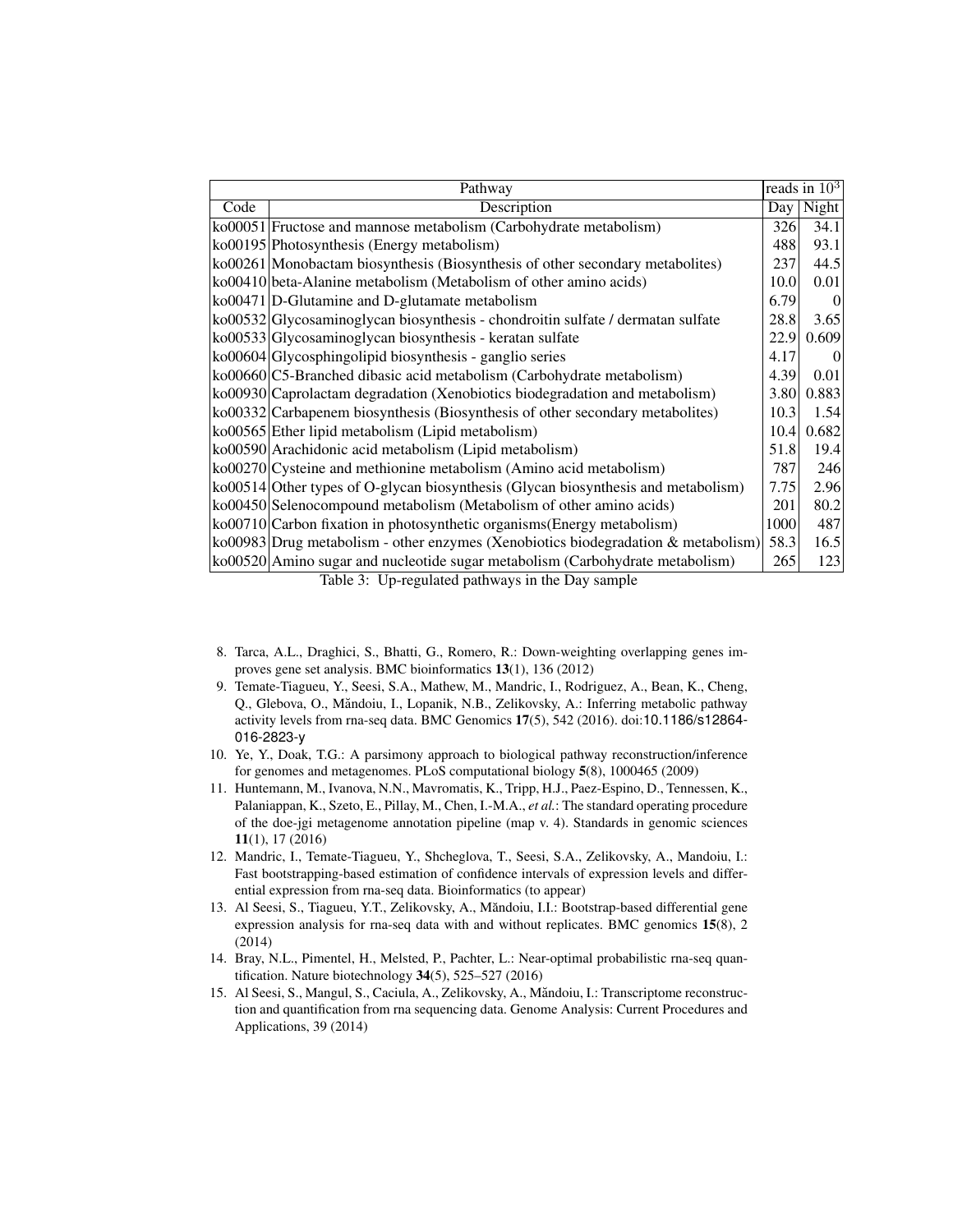| Pathway |                                                                                                                                                   |      | reads in $10^3$ |
|---------|---------------------------------------------------------------------------------------------------------------------------------------------------|------|-----------------|
| Code    | Description                                                                                                                                       |      | Day   Night     |
|         | ko00051   Fructose and mannose metabolism (Carbohydrate metabolism)                                                                               | 326  | 34.1            |
|         | ko00195 Photosynthesis (Energy metabolism)                                                                                                        | 488  | 93.1            |
|         | ko00261 Monobactam biosynthesis (Biosynthesis of other secondary metabolites)                                                                     | 237  | 44.5            |
|         | ko00410 beta-Alanine metabolism (Metabolism of other amino acids)                                                                                 | 10.0 | 0.01            |
|         | $k$ o00471 D-Glutamine and D-glutamate metabolism                                                                                                 | 6.79 | $\overline{0}$  |
|         | ko00532 Glycosaminoglycan biosynthesis - chondroitin sulfate / dermatan sulfate                                                                   | 28.8 | 3.65            |
|         | ko00533 Glycosaminoglycan biosynthesis - keratan sulfate                                                                                          | 22.9 | 0.609           |
|         | ko00604 Glycosphingolipid biosynthesis - ganglio series                                                                                           | 4.17 | $\overline{0}$  |
|         | ko00660 C5-Branched dibasic acid metabolism (Carbohydrate metabolism)                                                                             | 4.39 | 0.01            |
|         | ko00930 Caprolactam degradation (Xenobiotics biodegradation and metabolism)                                                                       | 3.80 | 0.883           |
|         | ko00332 Carbapenem biosynthesis (Biosynthesis of other secondary metabolites)                                                                     | 10.3 | 1.54            |
|         | ko00565 Ether lipid metabolism (Lipid metabolism)                                                                                                 | 10.4 | 0.682           |
|         | ko00590 Arachidonic acid metabolism (Lipid metabolism)                                                                                            | 51.8 | 19.4            |
|         | ko00270 Cysteine and methionine metabolism (Amino acid metabolism)                                                                                | 787  | 246             |
|         | ko00514 Other types of O-glycan biosynthesis (Glycan biosynthesis and metabolism)                                                                 | 7.75 | 2.96            |
|         | ko00450 Selenocompound metabolism (Metabolism of other amino acids)                                                                               | 201  | 80.2            |
|         | ko00710 Carbon fixation in photosynthetic organisms (Energy metabolism)                                                                           | 1000 | 487             |
|         | ko00983 Drug metabolism - other enzymes (Xenobiotics biodegradation & metabolism)                                                                 | 58.3 | 16.5            |
|         | ko00520 Amino sugar and nucleotide sugar metabolism (Carbohydrate metabolism)<br>$\mathbf{m}$ is a set of $\mathbf{m}$ in the set of $\mathbf{m}$ | 265  | 123             |

Table 3: Up-regulated pathways in the Day sample

- 8. Tarca, A.L., Draghici, S., Bhatti, G., Romero, R.: Down-weighting overlapping genes improves gene set analysis. BMC bioinformatics 13(1), 136 (2012)
- 9. Temate-Tiagueu, Y., Seesi, S.A., Mathew, M., Mandric, I., Rodriguez, A., Bean, K., Cheng, Q., Glebova, O., Măndoiu, I., Lopanik, N.B., Zelikovsky, A.: Inferring metabolic pathway activity levels from rna-seq data. BMC Genomics 17(5), 542 (2016). doi:10.1186/s12864- 016-2823-y
- 10. Ye, Y., Doak, T.G.: A parsimony approach to biological pathway reconstruction/inference for genomes and metagenomes. PLoS computational biology 5(8), 1000465 (2009)
- 11. Huntemann, M., Ivanova, N.N., Mavromatis, K., Tripp, H.J., Paez-Espino, D., Tennessen, K., Palaniappan, K., Szeto, E., Pillay, M., Chen, I.-M.A., *et al.*: The standard operating procedure of the doe-jgi metagenome annotation pipeline (map v. 4). Standards in genomic sciences 11(1), 17 (2016)
- 12. Mandric, I., Temate-Tiagueu, Y., Shcheglova, T., Seesi, S.A., Zelikovsky, A., Mandoiu, I.: Fast bootstrapping-based estimation of confidence intervals of expression levels and differential expression from rna-seq data. Bioinformatics (to appear)
- 13. Al Seesi, S., Tiagueu, Y.T., Zelikovsky, A., Măndoiu, I.I.: Bootstrap-based differential gene expression analysis for rna-seq data with and without replicates. BMC genomics 15(8), 2 (2014)
- 14. Bray, N.L., Pimentel, H., Melsted, P., Pachter, L.: Near-optimal probabilistic rna-seq quantification. Nature biotechnology 34(5), 525–527 (2016)
- 15. Al Seesi, S., Mangul, S., Caciula, A., Zelikovsky, A., Măndoiu, I.: Transcriptome reconstruction and quantification from rna sequencing data. Genome Analysis: Current Procedures and Applications, 39 (2014)